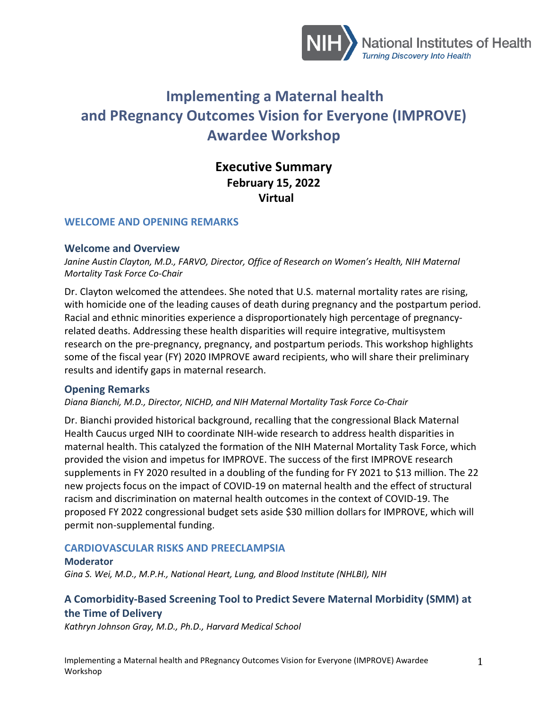

# **Implementing a Maternal health and PRegnancy Outcomes Vision for Everyone (IMPROVE) Awardee Workshop**

# **Executive Summary February 15, 2022 Virtual**

#### **WELCOME AND OPENING REMARKS**

#### **Welcome and Overview**

Janine Austin Clayton, M.D., FARVO, Director, Office of Research on Women's Health, NIH Maternal *Mortality Task Force Co-Chair*

Dr. Clayton welcomed the attendees. She noted that U.S. maternal mortality rates are rising, with homicide one of the leading causes of death during pregnancy and the postpartum period. Racial and ethnic minorities experience a disproportionately high percentage of pregnancyrelated deaths. Addressing these health disparities will require integrative, multisystem research on the pre-pregnancy, pregnancy, and postpartum periods. This workshop highlights some of the fiscal year (FY) 2020 IMPROVE award recipients, who will share their preliminary results and identify gaps in maternal research.

#### **Opening Remarks**

#### *Diana Bianchi, M.D., Director, NICHD, and NIH Maternal Mortality Task Force Co-Chair*

Dr. Bianchi provided historical background, recalling that the congressional Black Maternal Health Caucus urged NIH to coordinate NIH-wide research to address health disparities in maternal health. This catalyzed the formation of the NIH Maternal Mortality Task Force, which provided the vision and impetus for IMPROVE. The success of the first IMPROVE research supplements in FY 2020 resulted in a doubling of the funding for FY 2021 to \$13 million. The 22 new projects focus on the impact of COVID-19 on maternal health and the effect of structural racism and discrimination on maternal health outcomes in the context of COVID-19. The proposed FY 2022 congressional budget sets aside \$30 million dollars for IMPROVE, which will permit non-supplemental funding.

#### **CARDIOVASCULAR RISKS AND PREECLAMPSIA**

#### **Moderator**

*Gina S. Wei, M.D., M.P.H., National Heart, Lung, and Blood Institute (NHLBI), NIH*

## **A Comorbidity-Based Screening Tool to Predict Severe Maternal Morbidity (SMM) at the Time of Delivery**

*Kathryn Johnson Gray, M.D., Ph.D., Harvard Medical School*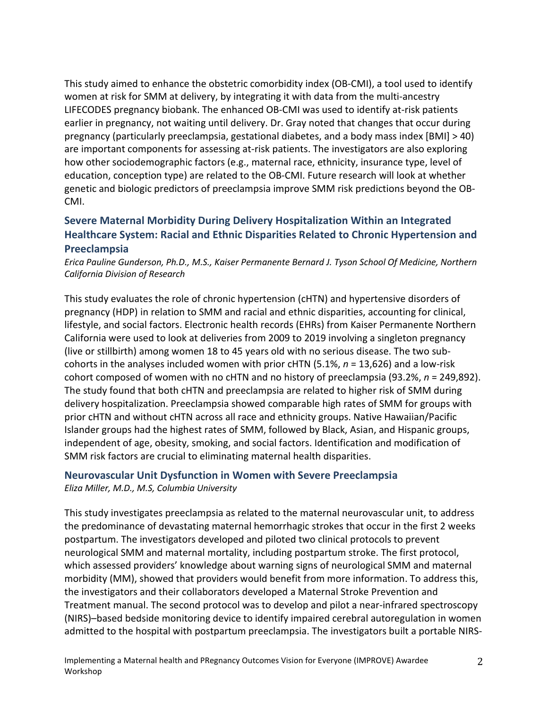This study aimed to enhance the obstetric comorbidity index (OB-CMI), a tool used to identify women at risk for SMM at delivery, by integrating it with data from the multi-ancestry LIFECODES pregnancy biobank. The enhanced OB-CMI was used to identify at-risk patients earlier in pregnancy, not waiting until delivery. Dr. Gray noted that changes that occur during pregnancy (particularly preeclampsia, gestational diabetes, and a body mass index [BMI] > 40) are important components for assessing at-risk patients. The investigators are also exploring how other sociodemographic factors (e.g., maternal race, ethnicity, insurance type, level of education, conception type) are related to the OB-CMI. Future research will look at whether genetic and biologic predictors of preeclampsia improve SMM risk predictions beyond the OB-CMI.

# **Severe Maternal Morbidity During Delivery Hospitalization Within an Integrated Healthcare System: Racial and Ethnic Disparities Related to Chronic Hypertension and Preeclampsia**

*Erica Pauline Gunderson, Ph.D., M.S., Kaiser Permanente Bernard J. Tyson School Of Medicine, Northern California Division of Research*

This study evaluates the role of chronic hypertension (cHTN) and hypertensive disorders of pregnancy (HDP) in relation to SMM and racial and ethnic disparities, accounting for clinical, lifestyle, and social factors. Electronic health records (EHRs) from Kaiser Permanente Northern California were used to look at deliveries from 2009 to 2019 involving a singleton pregnancy (live or stillbirth) among women 18 to 45 years old with no serious disease. The two subcohorts in the analyses included women with prior cHTN (5.1%, *n* = 13,626) and a low-risk cohort composed of women with no cHTN and no history of preeclampsia (93.2%, *n* = 249,892). The study found that both cHTN and preeclampsia are related to higher risk of SMM during delivery hospitalization. Preeclampsia showed comparable high rates of SMM for groups with prior cHTN and without cHTN across all race and ethnicity groups. Native Hawaiian/Pacific Islander groups had the highest rates of SMM, followed by Black, Asian, and Hispanic groups, independent of age, obesity, smoking, and social factors. Identification and modification of SMM risk factors are crucial to eliminating maternal health disparities.

# **Neurovascular Unit Dysfunction in Women with Severe Preeclampsia**

*Eliza Miller, M.D., M.S, Columbia University*

This study investigates preeclampsia as related to the maternal neurovascular unit, to address the predominance of devastating maternal hemorrhagic strokes that occur in the first 2 weeks postpartum. The investigators developed and piloted two clinical protocols to prevent neurological SMM and maternal mortality, including postpartum stroke. The first protocol, which assessed providers' knowledge about warning signs of neurological SMM and maternal morbidity (MM), showed that providers would benefit from more information. To address this, the investigators and their collaborators developed a Maternal Stroke Prevention and Treatment manual. The second protocol was to develop and pilot a near-infrared spectroscopy (NIRS)–based bedside monitoring device to identify impaired cerebral autoregulation in women admitted to the hospital with postpartum preeclampsia. The investigators built a portable NIRS-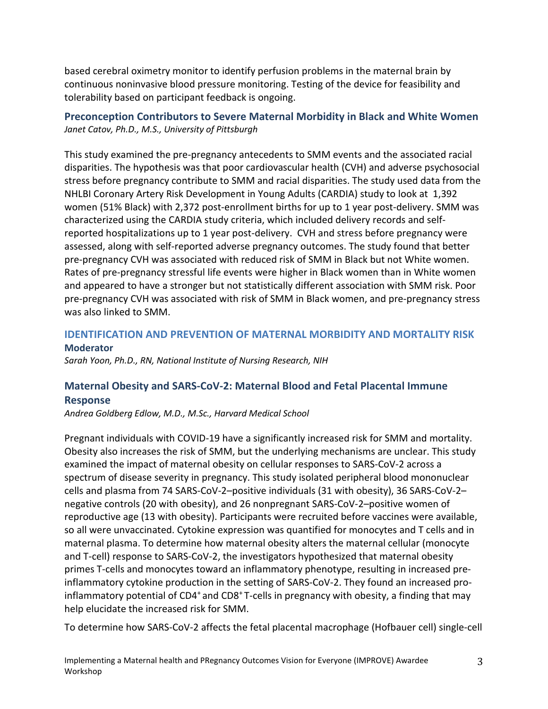based cerebral oximetry monitor to identify perfusion problems in the maternal brain by continuous noninvasive blood pressure monitoring. Testing of the device for feasibility and tolerability based on participant feedback is ongoing.

# **Preconception Contributors to Severe Maternal Morbidity in Black and White Women** *Janet Catov, Ph.D., M.S., University of Pittsburgh*

This study examined the pre-pregnancy antecedents to SMM events and the associated racial disparities. The hypothesis was that poor cardiovascular health (CVH) and adverse psychosocial stress before pregnancy contribute to SMM and racial disparities. The study used data from the NHLBI Coronary Artery Risk Development in Young Adults (CARDIA) study to look at 1,392 women (51% Black) with 2,372 post-enrollment births for up to 1 year post-delivery. SMM was characterized using the CARDIA study criteria, which included delivery records and selfreported hospitalizations up to 1 year post-delivery. CVH and stress before pregnancy were assessed, along with self-reported adverse pregnancy outcomes. The study found that better pre-pregnancy CVH was associated with reduced risk of SMM in Black but not White women. Rates of pre-pregnancy stressful life events were higher in Black women than in White women and appeared to have a stronger but not statistically different association with SMM risk. Poor pre-pregnancy CVH was associated with risk of SMM in Black women, and pre-pregnancy stress was also linked to SMM.

## **IDENTIFICATION AND PREVENTION OF MATERNAL MORBIDITY AND MORTALITY RISK**

#### **Moderator**

*Sarah Yoon, Ph.D., RN, National Institute of Nursing Research, NIH*

# **Maternal Obesity and SARS-CoV-2: Maternal Blood and Fetal Placental Immune Response**

*Andrea Goldberg Edlow, M.D., M.Sc., Harvard Medical School*

Pregnant individuals with COVID-19 have a significantly increased risk for SMM and mortality. Obesity also increases the risk of SMM, but the underlying mechanisms are unclear. This study examined the impact of maternal obesity on cellular responses to SARS-CoV-2 across a spectrum of disease severity in pregnancy. This study isolated peripheral blood mononuclear cells and plasma from 74 SARS-CoV-2–positive individuals (31 with obesity), 36 SARS-CoV-2– negative controls (20 with obesity), and 26 nonpregnant SARS-CoV-2–positive women of reproductive age (13 with obesity). Participants were recruited before vaccines were available, so all were unvaccinated. Cytokine expression was quantified for monocytes and T cells and in maternal plasma. To determine how maternal obesity alters the maternal cellular (monocyte and T-cell) response to SARS-CoV-2, the investigators hypothesized that maternal obesity primes T-cells and monocytes toward an inflammatory phenotype, resulting in increased preinflammatory cytokine production in the setting of SARS-CoV-2. They found an increased proinflammatory potential of CD4<sup>+</sup> and CD8<sup>+</sup> T-cells in pregnancy with obesity, a finding that may help elucidate the increased risk for SMM.

To determine how SARS-CoV-2 affects the fetal placental macrophage (Hofbauer cell) single-cell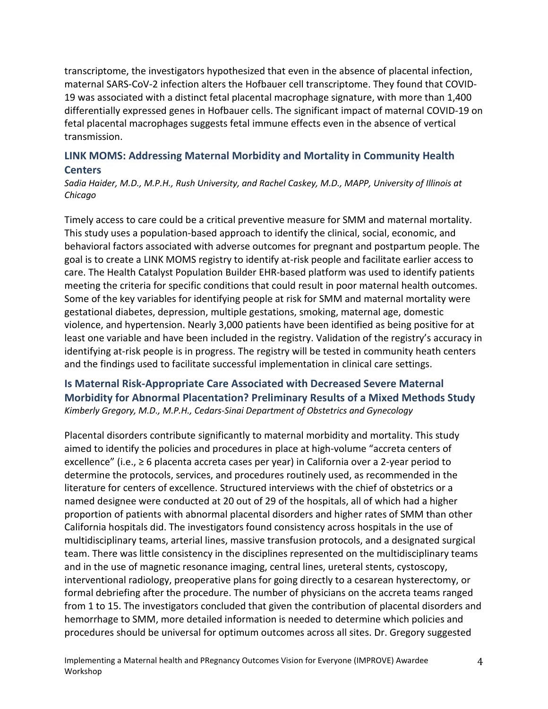transcriptome, the investigators hypothesized that even in the absence of placental infection, maternal SARS-CoV-2 infection alters the Hofbauer cell transcriptome. They found that COVID-19 was associated with a distinct fetal placental macrophage signature, with more than 1,400 differentially expressed genes in Hofbauer cells. The significant impact of maternal COVID-19 on fetal placental macrophages suggests fetal immune effects even in the absence of vertical transmission.

# **LINK MOMS: Addressing Maternal Morbidity and Mortality in Community Health Centers**

*Sadia Haider, M.D., M.P.H., Rush University, and Rachel Caskey, M.D., MAPP, University of Illinois at Chicago*

Timely access to care could be a critical preventive measure for SMM and maternal mortality. This study uses a population-based approach to identify the clinical, social, economic, and behavioral factors associated with adverse outcomes for pregnant and postpartum people. The goal is to create a LINK MOMS registry to identify at-risk people and facilitate earlier access to care. The Health Catalyst Population Builder EHR-based platform was used to identify patients meeting the criteria for specific conditions that could result in poor maternal health outcomes. Some of the key variables for identifying people at risk for SMM and maternal mortality were gestational diabetes, depression, multiple gestations, smoking, maternal age, domestic violence, and hypertension. Nearly 3,000 patients have been identified as being positive for at least one variable and have been included in the registry. Validation of the registry's accuracy in identifying at-risk people is in progress. The registry will be tested in community heath centers and the findings used to facilitate successful implementation in clinical care settings.

### **Is Maternal Risk-Appropriate Care Associated with Decreased Severe Maternal Morbidity for Abnormal Placentation? Preliminary Results of a Mixed Methods Study** *Kimberly Gregory, M.D., M.P.H., Cedars-Sinai Department of Obstetrics and Gynecology*

Placental disorders contribute significantly to maternal morbidity and mortality. This study aimed to identify the policies and procedures in place at high-volume "accreta centers of excellence" (i.e., ≥ 6 placenta accreta cases per year) in California over a 2-year period to determine the protocols, services, and procedures routinely used, as recommended in the literature for centers of excellence. Structured interviews with the chief of obstetrics or a named designee were conducted at 20 out of 29 of the hospitals, all of which had a higher proportion of patients with abnormal placental disorders and higher rates of SMM than other California hospitals did. The investigators found consistency across hospitals in the use of multidisciplinary teams, arterial lines, massive transfusion protocols, and a designated surgical team. There was little consistency in the disciplines represented on the multidisciplinary teams and in the use of magnetic resonance imaging, central lines, ureteral stents, cystoscopy, interventional radiology, preoperative plans for going directly to a cesarean hysterectomy, or formal debriefing after the procedure. The number of physicians on the accreta teams ranged from 1 to 15. The investigators concluded that given the contribution of placental disorders and hemorrhage to SMM, more detailed information is needed to determine which policies and procedures should be universal for optimum outcomes across all sites. Dr. Gregory suggested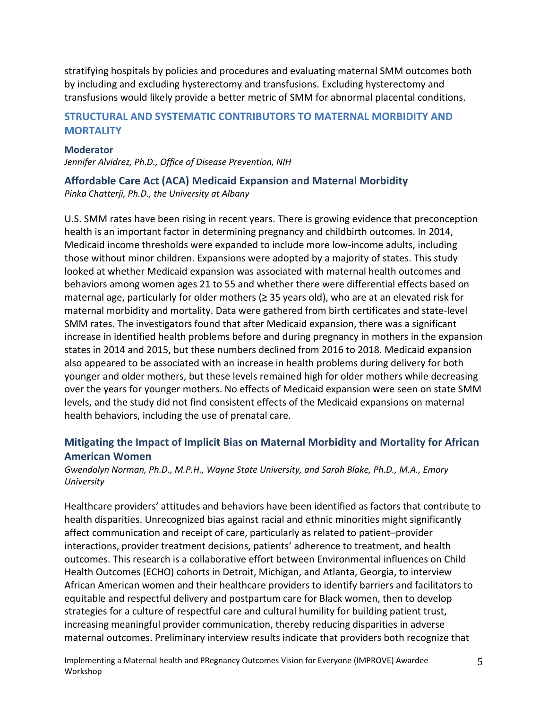stratifying hospitals by policies and procedures and evaluating maternal SMM outcomes both by including and excluding hysterectomy and transfusions. Excluding hysterectomy and transfusions would likely provide a better metric of SMM for abnormal placental conditions.

## **STRUCTURAL AND SYSTEMATIC CONTRIBUTORS TO MATERNAL MORBIDITY AND MORTALITY**

#### **Moderator**

*Jennifer Alvidrez, Ph.D., Office of Disease Prevention, NIH*

# **Affordable Care Act (ACA) Medicaid Expansion and Maternal Morbidity**

*Pinka Chatterji, Ph.D., the University at Albany*

U.S. SMM rates have been rising in recent years. There is growing evidence that preconception health is an important factor in determining pregnancy and childbirth outcomes. In 2014, Medicaid income thresholds were expanded to include more low-income adults, including those without minor children. Expansions were adopted by a majority of states. This study looked at whether Medicaid expansion was associated with maternal health outcomes and behaviors among women ages 21 to 55 and whether there were differential effects based on maternal age, particularly for older mothers ( $\geq$  35 years old), who are at an elevated risk for maternal morbidity and mortality. Data were gathered from birth certificates and state-level SMM rates. The investigators found that after Medicaid expansion, there was a significant increase in identified health problems before and during pregnancy in mothers in the expansion states in 2014 and 2015, but these numbers declined from 2016 to 2018. Medicaid expansion also appeared to be associated with an increase in health problems during delivery for both younger and older mothers, but these levels remained high for older mothers while decreasing over the years for younger mothers. No effects of Medicaid expansion were seen on state SMM levels, and the study did not find consistent effects of the Medicaid expansions on maternal health behaviors, including the use of prenatal care.

# **Mitigating the Impact of Implicit Bias on Maternal Morbidity and Mortality for African American Women**

*Gwendolyn Norman, Ph.D., M.P.H., Wayne State University, and Sarah Blake, Ph.D., M.A., Emory University* 

Healthcare providers' attitudes and behaviors have been identified as factors that contribute to health disparities. Unrecognized bias against racial and ethnic minorities might significantly affect communication and receipt of care, particularly as related to patient–provider interactions, provider treatment decisions, patients' adherence to treatment, and health outcomes. This research is a collaborative effort between Environmental influences on Child Health Outcomes (ECHO) cohorts in Detroit, Michigan, and Atlanta, Georgia, to interview African American women and their healthcare providers to identify barriers and facilitators to equitable and respectful delivery and postpartum care for Black women, then to develop strategies for a culture of respectful care and cultural humility for building patient trust, increasing meaningful provider communication, thereby reducing disparities in adverse maternal outcomes. Preliminary interview results indicate that providers both recognize that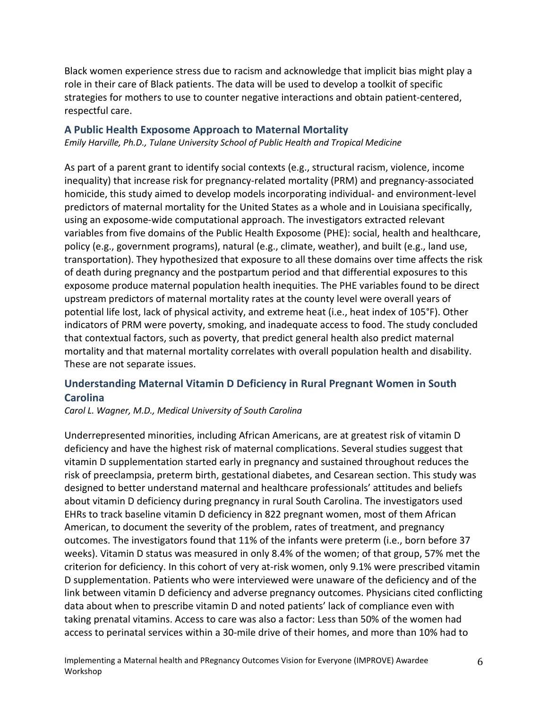Black women experience stress due to racism and acknowledge that implicit bias might play a role in their care of Black patients. The data will be used to develop a toolkit of specific strategies for mothers to use to counter negative interactions and obtain patient-centered, respectful care.

#### **A Public Health Exposome Approach to Maternal Mortality**

*Emily Harville, Ph.D., Tulane University School of Public Health and Tropical Medicine*

As part of a parent grant to identify social contexts (e.g., structural racism, violence, income inequality) that increase risk for pregnancy-related mortality (PRM) and pregnancy-associated homicide, this study aimed to develop models incorporating individual- and environment-level predictors of maternal mortality for the United States as a whole and in Louisiana specifically, using an exposome-wide computational approach. The investigators extracted relevant variables from five domains of the Public Health Exposome (PHE): social, health and healthcare, policy (e.g., government programs), natural (e.g., climate, weather), and built (e.g., land use, transportation). They hypothesized that exposure to all these domains over time affects the risk of death during pregnancy and the postpartum period and that differential exposures to this exposome produce maternal population health inequities. The PHE variables found to be direct upstream predictors of maternal mortality rates at the county level were overall years of potential life lost, lack of physical activity, and extreme heat (i.e., heat index of 105°F). Other indicators of PRM were poverty, smoking, and inadequate access to food. The study concluded that contextual factors, such as poverty, that predict general health also predict maternal mortality and that maternal mortality correlates with overall population health and disability. These are not separate issues.

# **Understanding Maternal Vitamin D Deficiency in Rural Pregnant Women in South Carolina**

*Carol L. Wagner, M.D., Medical University of South Carolina*

Underrepresented minorities, including African Americans, are at greatest risk of vitamin D deficiency and have the highest risk of maternal complications. Several studies suggest that vitamin D supplementation started early in pregnancy and sustained throughout reduces the risk of preeclampsia, preterm birth, gestational diabetes, and Cesarean section. This study was designed to better understand maternal and healthcare professionals' attitudes and beliefs about vitamin D deficiency during pregnancy in rural South Carolina. The investigators used EHRs to track baseline vitamin D deficiency in 822 pregnant women, most of them African American, to document the severity of the problem, rates of treatment, and pregnancy outcomes. The investigators found that 11% of the infants were preterm (i.e., born before 37 weeks). Vitamin D status was measured in only 8.4% of the women; of that group, 57% met the criterion for deficiency. In this cohort of very at-risk women, only 9.1% were prescribed vitamin D supplementation. Patients who were interviewed were unaware of the deficiency and of the link between vitamin D deficiency and adverse pregnancy outcomes. Physicians cited conflicting data about when to prescribe vitamin D and noted patients' lack of compliance even with taking prenatal vitamins. Access to care was also a factor: Less than 50% of the women had access to perinatal services within a 30-mile drive of their homes, and more than 10% had to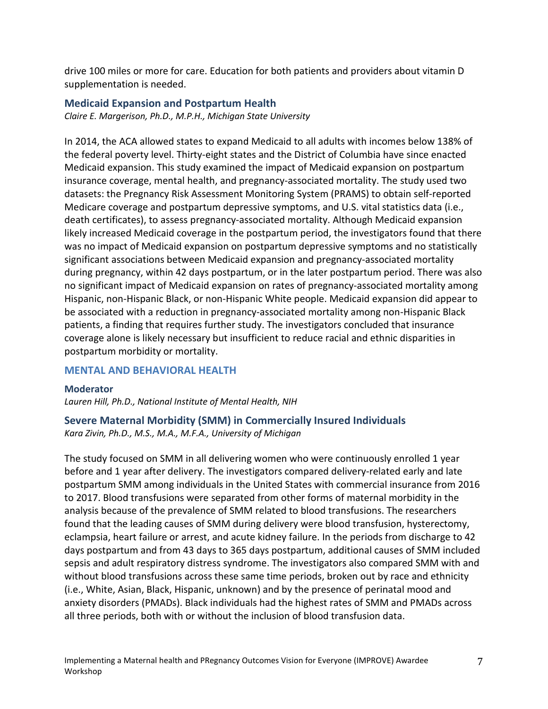drive 100 miles or more for care. Education for both patients and providers about vitamin D supplementation is needed.

#### **Medicaid Expansion and Postpartum Health**

*Claire E. Margerison, Ph.D., M.P.H., Michigan State University*

In 2014, the ACA allowed states to expand Medicaid to all adults with incomes below 138% of the federal poverty level. Thirty-eight states and the District of Columbia have since enacted Medicaid expansion. This study examined the impact of Medicaid expansion on postpartum insurance coverage, mental health, and pregnancy-associated mortality. The study used two datasets: the Pregnancy Risk Assessment Monitoring System (PRAMS) to obtain self-reported Medicare coverage and postpartum depressive symptoms, and U.S. vital statistics data (i.e., death certificates), to assess pregnancy-associated mortality. Although Medicaid expansion likely increased Medicaid coverage in the postpartum period, the investigators found that there was no impact of Medicaid expansion on postpartum depressive symptoms and no statistically significant associations between Medicaid expansion and pregnancy-associated mortality during pregnancy, within 42 days postpartum, or in the later postpartum period. There was also no significant impact of Medicaid expansion on rates of pregnancy-associated mortality among Hispanic, non-Hispanic Black, or non-Hispanic White people. Medicaid expansion did appear to be associated with a reduction in pregnancy-associated mortality among non-Hispanic Black patients, a finding that requires further study. The investigators concluded that insurance coverage alone is likely necessary but insufficient to reduce racial and ethnic disparities in postpartum morbidity or mortality.

### **MENTAL AND BEHAVIORAL HEALTH**

**Moderator** *Lauren Hill, Ph.D., National Institute of Mental Health, NIH*

**Severe Maternal Morbidity (SMM) in Commercially Insured Individuals** *Kara Zivin, Ph.D., M.S., M.A., M.F.A., University of Michigan*

The study focused on SMM in all delivering women who were continuously enrolled 1 year before and 1 year after delivery. The investigators compared delivery-related early and late postpartum SMM among individuals in the United States with commercial insurance from 2016 to 2017. Blood transfusions were separated from other forms of maternal morbidity in the analysis because of the prevalence of SMM related to blood transfusions. The researchers found that the leading causes of SMM during delivery were blood transfusion, hysterectomy, eclampsia, heart failure or arrest, and acute kidney failure. In the periods from discharge to 42 days postpartum and from 43 days to 365 days postpartum, additional causes of SMM included sepsis and adult respiratory distress syndrome. The investigators also compared SMM with and without blood transfusions across these same time periods, broken out by race and ethnicity (i.e., White, Asian, Black, Hispanic, unknown) and by the presence of perinatal mood and anxiety disorders (PMADs). Black individuals had the highest rates of SMM and PMADs across all three periods, both with or without the inclusion of blood transfusion data.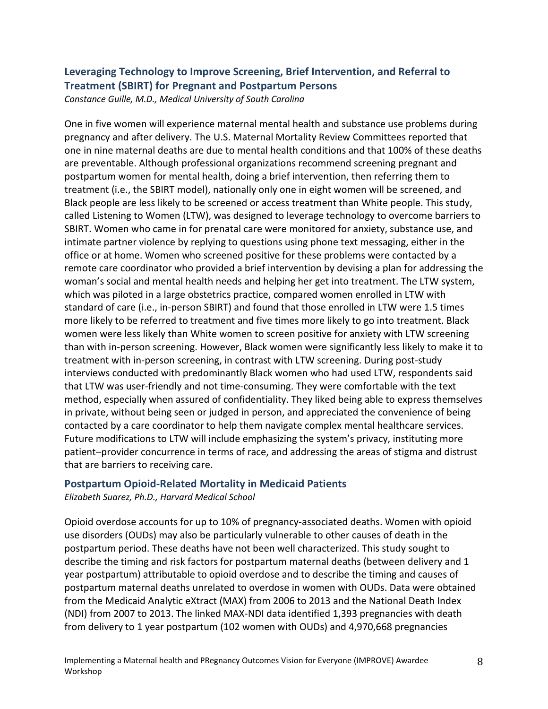# **Leveraging Technology to Improve Screening, Brief Intervention, and Referral to Treatment (SBIRT) for Pregnant and Postpartum Persons**  *Constance Guille, M.D., Medical University of South Carolina*

One in five women will experience maternal mental health and substance use problems during pregnancy and after delivery. The U.S. Maternal Mortality Review Committees reported that one in nine maternal deaths are due to mental health conditions and that 100% of these deaths are preventable. Although professional organizations recommend screening pregnant and postpartum women for mental health, doing a brief intervention, then referring them to treatment (i.e., the SBIRT model), nationally only one in eight women will be screened, and Black people are less likely to be screened or access treatment than White people. This study, called Listening to Women (LTW), was designed to leverage technology to overcome barriers to SBIRT. Women who came in for prenatal care were monitored for anxiety, substance use, and intimate partner violence by replying to questions using phone text messaging, either in the office or at home. Women who screened positive for these problems were contacted by a remote care coordinator who provided a brief intervention by devising a plan for addressing the woman's social and mental health needs and helping her get into treatment. The LTW system, which was piloted in a large obstetrics practice, compared women enrolled in LTW with standard of care (i.e., in-person SBIRT) and found that those enrolled in LTW were 1.5 times more likely to be referred to treatment and five times more likely to go into treatment. Black women were less likely than White women to screen positive for anxiety with LTW screening than with in-person screening. However, Black women were significantly less likely to make it to treatment with in-person screening, in contrast with LTW screening. During post-study interviews conducted with predominantly Black women who had used LTW, respondents said that LTW was user-friendly and not time-consuming. They were comfortable with the text method, especially when assured of confidentiality. They liked being able to express themselves in private, without being seen or judged in person, and appreciated the convenience of being contacted by a care coordinator to help them navigate complex mental healthcare services. Future modifications to LTW will include emphasizing the system's privacy, instituting more patient–provider concurrence in terms of race, and addressing the areas of stigma and distrust that are barriers to receiving care.

### **Postpartum Opioid-Related Mortality in Medicaid Patients**

*Elizabeth Suarez, Ph.D., Harvard Medical School*

Opioid overdose accounts for up to 10% of pregnancy-associated deaths. Women with opioid use disorders (OUDs) may also be particularly vulnerable to other causes of death in the postpartum period. These deaths have not been well characterized. This study sought to describe the timing and risk factors for postpartum maternal deaths (between delivery and 1 year postpartum) attributable to opioid overdose and to describe the timing and causes of postpartum maternal deaths unrelated to overdose in women with OUDs. Data were obtained from the Medicaid Analytic eXtract (MAX) from 2006 to 2013 and the National Death Index (NDI) from 2007 to 2013. The linked MAX-NDI data identified 1,393 pregnancies with death from delivery to 1 year postpartum (102 women with OUDs) and 4,970,668 pregnancies